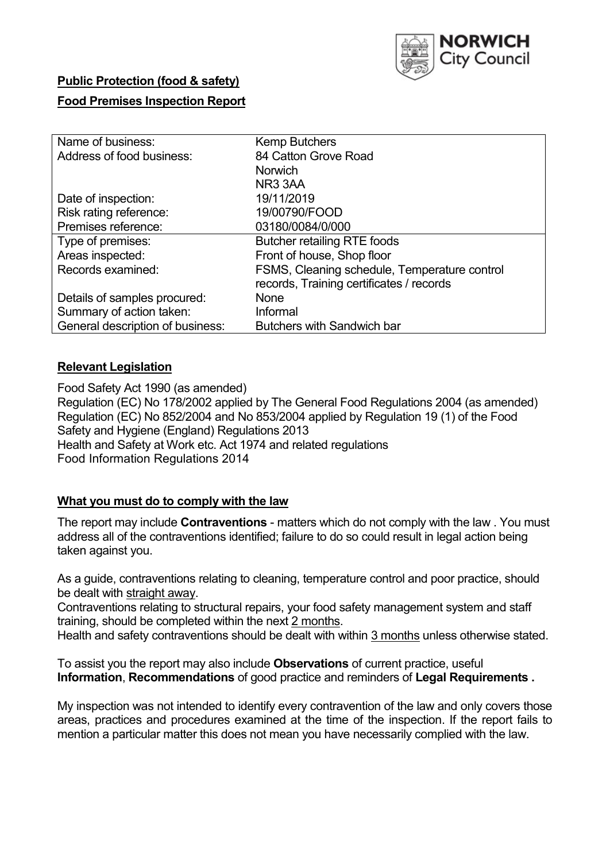

## **Public Protection (food & safety)**

## **Food Premises Inspection Report**

| Name of business:                | <b>Kemp Butchers</b>                         |  |  |  |  |
|----------------------------------|----------------------------------------------|--|--|--|--|
| Address of food business:        | 84 Catton Grove Road                         |  |  |  |  |
|                                  | <b>Norwich</b>                               |  |  |  |  |
|                                  | NR <sub>3</sub> 3AA                          |  |  |  |  |
| Date of inspection:              | 19/11/2019                                   |  |  |  |  |
| Risk rating reference:           | 19/00790/FOOD                                |  |  |  |  |
| Premises reference:              | 03180/0084/0/000                             |  |  |  |  |
| Type of premises:                | <b>Butcher retailing RTE foods</b>           |  |  |  |  |
| Areas inspected:                 | Front of house, Shop floor                   |  |  |  |  |
| Records examined:                | FSMS, Cleaning schedule, Temperature control |  |  |  |  |
|                                  | records, Training certificates / records     |  |  |  |  |
| Details of samples procured:     | None                                         |  |  |  |  |
| Summary of action taken:         | Informal                                     |  |  |  |  |
| General description of business: | <b>Butchers with Sandwich bar</b>            |  |  |  |  |

## **Relevant Legislation**

Food Safety Act 1990 (as amended) Regulation (EC) No 178/2002 applied by The General Food Regulations 2004 (as amended) Regulation (EC) No 852/2004 and No 853/2004 applied by Regulation 19 (1) of the Food Safety and Hygiene (England) Regulations 2013 Health and Safety at Work etc. Act 1974 and related regulations Food Information Regulations 2014

## **What you must do to comply with the law**

The report may include **Contraventions** - matters which do not comply with the law . You must address all of the contraventions identified; failure to do so could result in legal action being taken against you.

As a guide, contraventions relating to cleaning, temperature control and poor practice, should be dealt with straight away.

Contraventions relating to structural repairs, your food safety management system and staff training, should be completed within the next 2 months.

Health and safety contraventions should be dealt with within 3 months unless otherwise stated.

To assist you the report may also include **Observations** of current practice, useful **Information**, **Recommendations** of good practice and reminders of **Legal Requirements .**

My inspection was not intended to identify every contravention of the law and only covers those areas, practices and procedures examined at the time of the inspection. If the report fails to mention a particular matter this does not mean you have necessarily complied with the law.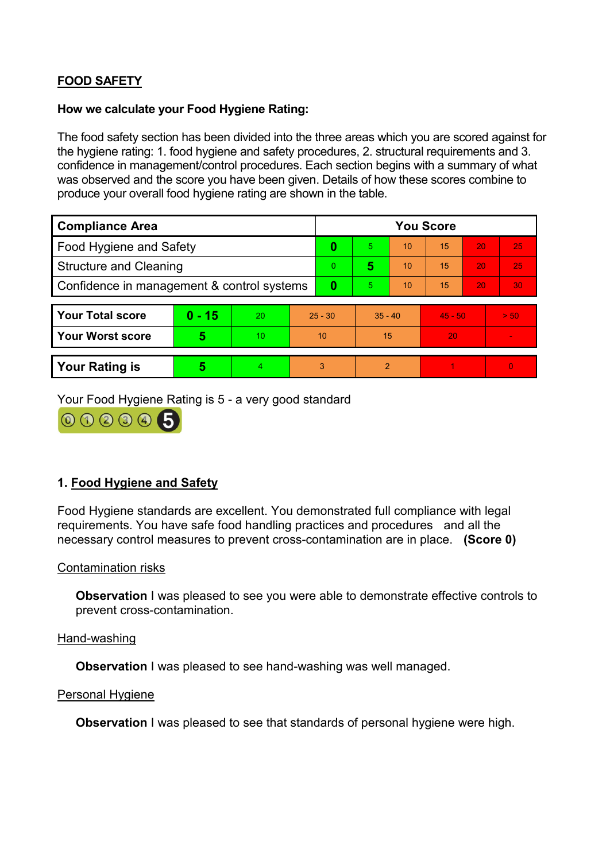# **FOOD SAFETY**

### **How we calculate your Food Hygiene Rating:**

The food safety section has been divided into the three areas which you are scored against for the hygiene rating: 1. food hygiene and safety procedures, 2. structural requirements and 3. confidence in management/control procedures. Each section begins with a summary of what was observed and the score you have been given. Details of how these scores combine to produce your overall food hygiene rating are shown in the table.

| <b>Compliance Area</b>                     |          |    |           | <b>You Score</b> |                |    |           |    |                |  |
|--------------------------------------------|----------|----|-----------|------------------|----------------|----|-----------|----|----------------|--|
| <b>Food Hygiene and Safety</b>             |          |    | 0         | 5.               | 10             | 15 | 20        | 25 |                |  |
| <b>Structure and Cleaning</b>              |          |    | $\Omega$  | 5                | 10             | 15 | 20        | 25 |                |  |
| Confidence in management & control systems |          |    | $\bf{0}$  | 5                | 10             | 15 | 20        | 30 |                |  |
|                                            |          |    |           |                  |                |    |           |    |                |  |
| <b>Your Total score</b>                    | $0 - 15$ | 20 | $25 - 30$ |                  | $35 - 40$      |    | $45 - 50$ |    | > 50           |  |
| Your Worst score                           | 5        | 10 | 10        |                  | 15             |    | 20        |    | $\blacksquare$ |  |
|                                            |          |    |           |                  |                |    |           |    |                |  |
| <b>Your Rating is</b>                      | 5        | 4. | 3         |                  | $\overline{2}$ |    |           |    | 0              |  |

Your Food Hygiene Rating is 5 - a very good standard



# **1. Food Hygiene and Safety**

Food Hygiene standards are excellent. You demonstrated full compliance with legal requirements. You have safe food handling practices and procedures and all the necessary control measures to prevent cross-contamination are in place. **(Score 0)**

## Contamination risks

**Observation** I was pleased to see you were able to demonstrate effective controls to prevent cross-contamination.

## Hand-washing

**Observation** I was pleased to see hand-washing was well managed.

#### Personal Hygiene

**Observation** I was pleased to see that standards of personal hygiene were high.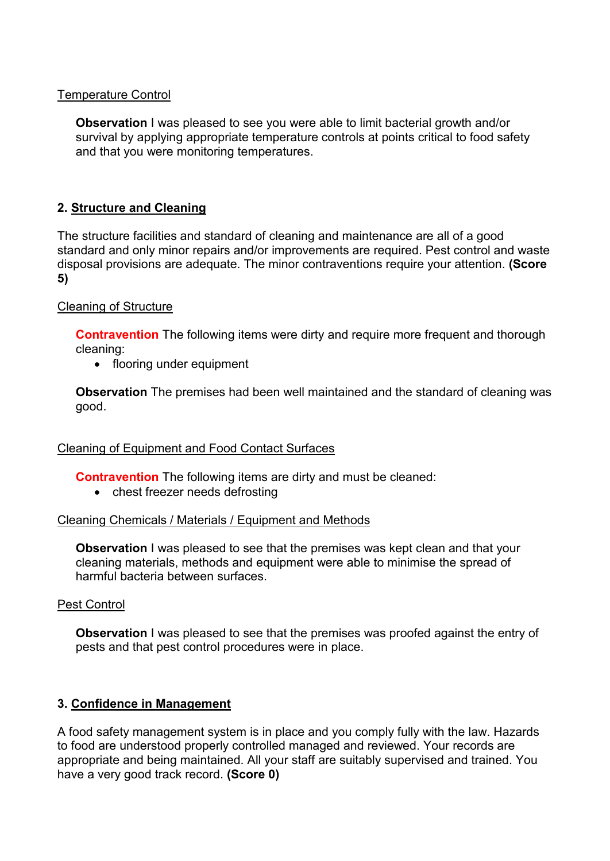## Temperature Control

**Observation** I was pleased to see you were able to limit bacterial growth and/or survival by applying appropriate temperature controls at points critical to food safety and that you were monitoring temperatures.

# **2. Structure and Cleaning**

The structure facilities and standard of cleaning and maintenance are all of a good standard and only minor repairs and/or improvements are required. Pest control and waste disposal provisions are adequate. The minor contraventions require your attention. **(Score 5)**

## Cleaning of Structure

**Contravention** The following items were dirty and require more frequent and thorough cleaning:

• flooring under equipment

**Observation** The premises had been well maintained and the standard of cleaning was good.

## Cleaning of Equipment and Food Contact Surfaces

**Contravention** The following items are dirty and must be cleaned:

• chest freezer needs defrosting

## Cleaning Chemicals / Materials / Equipment and Methods

**Observation** I was pleased to see that the premises was kept clean and that your cleaning materials, methods and equipment were able to minimise the spread of harmful bacteria between surfaces.

## Pest Control

**Observation** I was pleased to see that the premises was proofed against the entry of pests and that pest control procedures were in place.

# **3. Confidence in Management**

A food safety management system is in place and you comply fully with the law. Hazards to food are understood properly controlled managed and reviewed. Your records are appropriate and being maintained. All your staff are suitably supervised and trained. You have a very good track record. **(Score 0)**